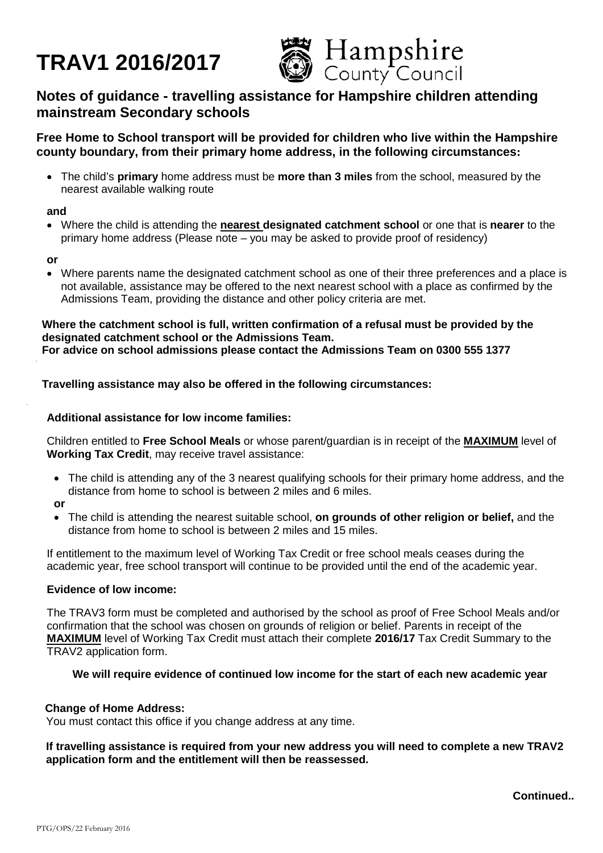# **TRAV1 2016/2017**



# **Notes of guidance - travelling assistance for Hampshire children attending mainstream Secondary schools**

# **Free Home to School transport will be provided for children who live within the Hampshire county boundary, from their primary home address, in the following circumstances:**

• The child's **primary** home address must be **more than 3 miles** from the school, measured by the nearest available walking route

#### **and**

• Where the child is attending the **nearest designated catchment school** or one that is **nearer** to the primary home address (Please note – you may be asked to provide proof of residency)

#### **or**

• Where parents name the designated catchment school as one of their three preferences and a place is not available, assistance may be offered to the next nearest school with a place as confirmed by the Admissions Team, providing the distance and other policy criteria are met.

**Where the catchment school is full, written confirmation of a refusal must be provided by the designated catchment school or the Admissions Team. For advice on school admissions please contact the Admissions Team on 0300 555 1377**

# **Travelling assistance may also be offered in the following circumstances:**

# **Additional assistance for low income families:**

Children entitled to **Free School Meals** or whose parent/guardian is in receipt of the **MAXIMUM** level of **Working Tax Credit**, may receive travel assistance:

- The child is attending any of the 3 nearest qualifying schools for their primary home address, and the distance from home to school is between 2 miles and 6 miles.
- **or**
- The child is attending the nearest suitable school, **on grounds of other religion or belief,** and the distance from home to school is between 2 miles and 15 miles.

If entitlement to the maximum level of Working Tax Credit or free school meals ceases during the academic year, free school transport will continue to be provided until the end of the academic year.

# **Evidence of low income:**

The TRAV3 form must be completed and authorised by the school as proof of Free School Meals and/or confirmation that the school was chosen on grounds of religion or belief. Parents in receipt of the **MAXIMUM** level of Working Tax Credit must attach their complete **2016/17** Tax Credit Summary to the TRAV2 application form.

# **We will require evidence of continued low income for the start of each new academic year**

# **Change of Home Address:**

You must contact this office if you change address at any time.

# **If travelling assistance is required from your new address you will need to complete a new TRAV2 application form and the entitlement will then be reassessed.**

**Continued..**